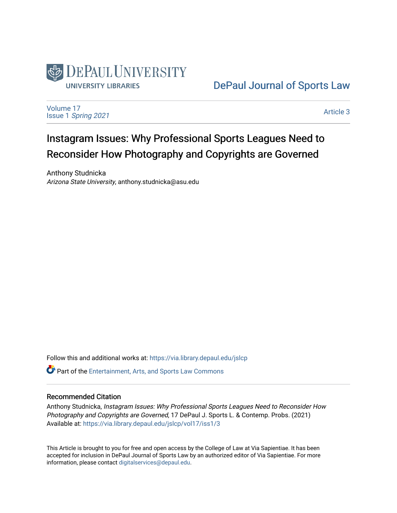

# [DePaul Journal of Sports Law](https://via.library.depaul.edu/jslcp)

[Volume 17](https://via.library.depaul.edu/jslcp/vol17) Issue 1 [Spring 2021](https://via.library.depaul.edu/jslcp/vol17/iss1) 

[Article 3](https://via.library.depaul.edu/jslcp/vol17/iss1/3) 

# Instagram Issues: Why Professional Sports Leagues Need to Reconsider How Photography and Copyrights are Governed

Anthony Studnicka Arizona State University, anthony.studnicka@asu.edu

Follow this and additional works at: [https://via.library.depaul.edu/jslcp](https://via.library.depaul.edu/jslcp?utm_source=via.library.depaul.edu%2Fjslcp%2Fvol17%2Fiss1%2F3&utm_medium=PDF&utm_campaign=PDFCoverPages) 

**C** Part of the [Entertainment, Arts, and Sports Law Commons](http://network.bepress.com/hgg/discipline/893?utm_source=via.library.depaul.edu%2Fjslcp%2Fvol17%2Fiss1%2F3&utm_medium=PDF&utm_campaign=PDFCoverPages)

#### Recommended Citation

Anthony Studnicka, Instagram Issues: Why Professional Sports Leagues Need to Reconsider How Photography and Copyrights are Governed, 17 DePaul J. Sports L. & Contemp. Probs. (2021) Available at: [https://via.library.depaul.edu/jslcp/vol17/iss1/3](https://via.library.depaul.edu/jslcp/vol17/iss1/3?utm_source=via.library.depaul.edu%2Fjslcp%2Fvol17%2Fiss1%2F3&utm_medium=PDF&utm_campaign=PDFCoverPages) 

This Article is brought to you for free and open access by the College of Law at Via Sapientiae. It has been accepted for inclusion in DePaul Journal of Sports Law by an authorized editor of Via Sapientiae. For more information, please contact [digitalservices@depaul.edu](mailto:digitalservices@depaul.edu).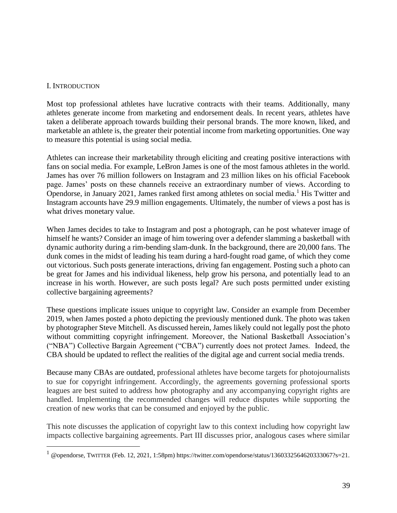#### I. INTRODUCTION

Most top professional athletes have lucrative contracts with their teams. Additionally, many athletes generate income from marketing and endorsement deals. In recent years, athletes have taken a deliberate approach towards building their personal brands. The more known, liked, and marketable an athlete is, the greater their potential income from marketing opportunities. One way to measure this potential is using social media.

Athletes can increase their marketability through eliciting and creating positive interactions with fans on social media. For example, LeBron James is one of the most famous athletes in the world. James has over 76 million followers on Instagram and 23 million likes on his official Facebook page. James' posts on these channels receive an extraordinary number of views. According to Opendorse, in January 2021, James ranked first among athletes on social media.<sup>1</sup> His Twitter and Instagram accounts have 29.9 million engagements. Ultimately, the number of views a post has is what drives monetary value.

When James decides to take to Instagram and post a photograph, can he post whatever image of himself he wants? Consider an image of him towering over a defender slamming a basketball with dynamic authority during a rim-bending slam-dunk. In the background, there are 20,000 fans. The dunk comes in the midst of leading his team during a hard-fought road game, of which they come out victorious. Such posts generate interactions, driving fan engagement. Posting such a photo can be great for James and his individual likeness, help grow his persona, and potentially lead to an increase in his worth. However, are such posts legal? Are such posts permitted under existing collective bargaining agreements?

These questions implicate issues unique to copyright law. Consider an example from December 2019, when James posted a photo depicting the previously mentioned dunk. The photo was taken by photographer Steve Mitchell. As discussed herein, James likely could not legally post the photo without committing copyright infringement. Moreover, the National Basketball Association's ("NBA") Collective Bargain Agreement ("CBA") currently does not protect James. Indeed, the CBA should be updated to reflect the realities of the digital age and current social media trends.

Because many CBAs are outdated, professional athletes have become targets for photojournalists to sue for copyright infringement. Accordingly, the agreements governing professional sports leagues are best suited to address how photography and any accompanying copyright rights are handled. Implementing the recommended changes will reduce disputes while supporting the creation of new works that can be consumed and enjoyed by the public.

This note discusses the application of copyright law to this context including how copyright law impacts collective bargaining agreements. Part III discusses prior, analogous cases where similar

 $1$  @opendorse, TWITTER (Feb. 12, 2021, 1:58pm) https://twitter.com/opendorse/status/1360332564620333067?s=21.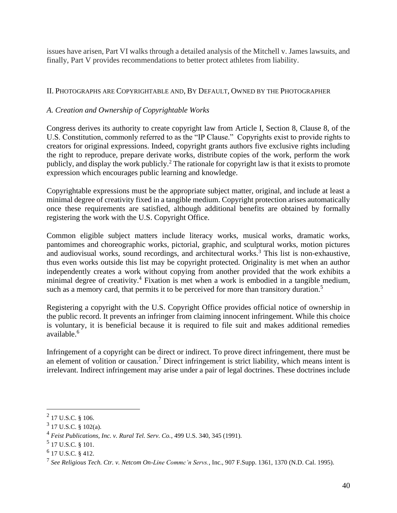issues have arisen, Part VI walks through a detailed analysis of the Mitchell v. James lawsuits, and finally, Part V provides recommendations to better protect athletes from liability.

#### II. PHOTOGRAPHS ARE COPYRIGHTABLE AND, BY DEFAULT, OWNED BY THE PHOTOGRAPHER

#### *A. Creation and Ownership of Copyrightable Works*

Congress derives its authority to create copyright law from Article I, Section 8, Clause 8, of the U.S. Constitution, commonly referred to as the "IP Clause." Copyrights exist to provide rights to creators for original expressions. Indeed, copyright grants authors five exclusive rights including the right to reproduce, prepare derivate works, distribute copies of the work, perform the work publicly, and display the work publicly.<sup>2</sup> The rationale for copyright law is that it exists to promote expression which encourages public learning and knowledge.

Copyrightable expressions must be the appropriate subject matter, original, and include at least a minimal degree of creativity fixed in a tangible medium. Copyright protection arises automatically once these requirements are satisfied, although additional benefits are obtained by formally registering the work with the U.S. Copyright Office.

Common eligible subject matters include literacy works, musical works, dramatic works, pantomimes and choreographic works, pictorial, graphic, and sculptural works, motion pictures and audiovisual works, sound recordings, and architectural works.<sup>3</sup> This list is non-exhaustive, thus even works outside this list may be copyright protected. Originality is met when an author independently creates a work without copying from another provided that the work exhibits a minimal degree of creativity.<sup>4</sup> Fixation is met when a work is embodied in a tangible medium, such as a memory card, that permits it to be perceived for more than transitory duration.<sup>5</sup>

Registering a copyright with the U.S. Copyright Office provides official notice of ownership in the public record. It prevents an infringer from claiming innocent infringement. While this choice is voluntary, it is beneficial because it is required to file suit and makes additional remedies available.<sup>6</sup>

Infringement of a copyright can be direct or indirect. To prove direct infringement, there must be an element of volition or causation.<sup>7</sup> Direct infringement is strict liability, which means intent is irrelevant. Indirect infringement may arise under a pair of legal doctrines. These doctrines include

 $^{2}$  17 U.S.C. § 106.

 $3$  17 U.S.C. § 102(a).

<sup>4</sup> *Feist Publications, Inc. v. Rural Tel. Serv. Co.*, 499 U.S. 340, 345 (1991).

 $^5$  17 U.S.C. § 101.

 $6$  17 U.S.C. § 412.

<sup>7</sup> *See Religious Tech. Ctr. v. Netcom On-Line Commc'n Servs.*, Inc., 907 F.Supp. 1361, 1370 (N.D. Cal. 1995).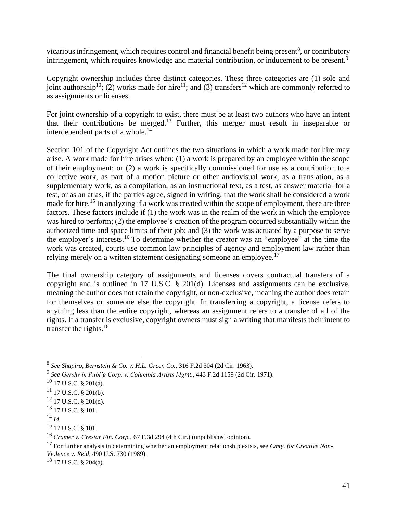vicarious infringement, which requires control and financial benefit being present<sup>8</sup>, or contributory infringement, which requires knowledge and material contribution, or inducement to be present.<sup>9</sup>

Copyright ownership includes three distinct categories. These three categories are (1) sole and joint authorship<sup>10</sup>; (2) works made for hire<sup>11</sup>; and (3) transfers<sup>12</sup> which are commonly referred to as assignments or licenses.

For joint ownership of a copyright to exist, there must be at least two authors who have an intent that their contributions be merged.<sup>13</sup> Further, this merger must result in inseparable or interdependent parts of a whole.<sup>14</sup>

Section 101 of the Copyright Act outlines the two situations in which a work made for hire may arise. A work made for hire arises when: (1) a work is prepared by an employee within the scope of their employment; or (2) a work is specifically commissioned for use as a contribution to a collective work, as part of a motion picture or other audiovisual work, as a translation, as a supplementary work, as a compilation, as an instructional text, as a test, as answer material for a test, or as an atlas, if the parties agree, signed in writing, that the work shall be considered a work made for hire.<sup>15</sup> In analyzing if a work was created within the scope of employment, there are three factors. These factors include if (1) the work was in the realm of the work in which the employee was hired to perform; (2) the employee's creation of the program occurred substantially within the authorized time and space limits of their job; and (3) the work was actuated by a purpose to serve the employer's interests.<sup>16</sup> To determine whether the creator was an "employee" at the time the work was created, courts use common law principles of agency and employment law rather than relying merely on a written statement designating someone an employee.<sup>17</sup>

The final ownership category of assignments and licenses covers contractual transfers of a copyright and is outlined in 17 U.S.C. § 201(d). Licenses and assignments can be exclusive, meaning the author does not retain the copyright, or non-exclusive, meaning the author does retain for themselves or someone else the copyright. In transferring a copyright, a license refers to anything less than the entire copyright, whereas an assignment refers to a transfer of all of the rights. If a transfer is exclusive, copyright owners must sign a writing that manifests their intent to transfer the rights.<sup>18</sup>

<sup>18</sup> 17 U.S.C. § 204(a).

<sup>8</sup> *See Shapiro, Bernstein & Co. v. H.L. Green Co.*, 316 F.2d 304 (2d Cir. 1963).

<sup>9</sup> *See Gershwin Publ'g Corp. v. Columbia Artists Mgmt.*, 443 F.2d 1159 (2d Cir. 1971).

 $10$  17 U.S.C. § 201(a).

 $11$  17 U.S.C. § 201(b).

 $12$  17 U.S.C. § 201(d).

 $^{13}$  17 U.S.C. § 101.

 $^{14}$  *Id.* 

<sup>15</sup> 17 U.S.C. § 101.

<sup>16</sup> *Cramer v. Crestar Fin. Corp.*, 67 F.3d 294 (4th Cir.) (unpublished opinion).

<sup>17</sup> For further analysis in determining whether an employment relationship exists, see *Cmty. for Creative Non-Violence v. Reid*, 490 U.S. 730 (1989).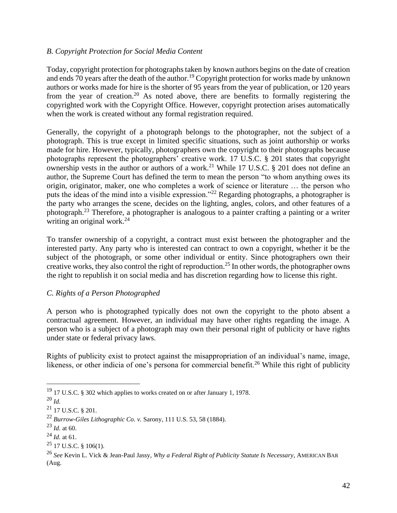#### *B. Copyright Protection for Social Media Content*

Today, copyright protection for photographs taken by known authors begins on the date of creation and ends 70 years after the death of the author.<sup>19</sup> Copyright protection for works made by unknown authors or works made for hire is the shorter of 95 years from the year of publication, or 120 years from the year of creation.<sup>20</sup> As noted above, there are benefits to formally registering the copyrighted work with the Copyright Office. However, copyright protection arises automatically when the work is created without any formal registration required.

Generally, the copyright of a photograph belongs to the photographer, not the subject of a photograph. This is true except in limited specific situations, such as joint authorship or works made for hire. However, typically, photographers own the copyright to their photographs because photographs represent the photographers' creative work. 17 U.S.C. § 201 states that copyright ownership vests in the author or authors of a work.<sup>21</sup> While 17 U.S.C.  $\S$  201 does not define an author, the Supreme Court has defined the term to mean the person "to whom anything owes its origin, originator, maker, one who completes a work of science or literature … the person who puts the ideas of the mind into a visible expression."<sup>22</sup> Regarding photographs, a photographer is the party who arranges the scene, decides on the lighting, angles, colors, and other features of a photograph.<sup>23</sup> Therefore, a photographer is analogous to a painter crafting a painting or a writer writing an original work.<sup>24</sup>

To transfer ownership of a copyright, a contract must exist between the photographer and the interested party. Any party who is interested can contract to own a copyright, whether it be the subject of the photograph, or some other individual or entity. Since photographers own their creative works, they also control the right of reproduction.<sup>25</sup> In other words, the photographer owns the right to republish it on social media and has discretion regarding how to license this right.

#### *C. Rights of a Person Photographed*

A person who is photographed typically does not own the copyright to the photo absent a contractual agreement. However, an individual may have other rights regarding the image. A person who is a subject of a photograph may own their personal right of publicity or have rights under state or federal privacy laws.

Rights of publicity exist to protect against the misappropriation of an individual's name, image, likeness, or other indicia of one's persona for commercial benefit.<sup>26</sup> While this right of publicity

<sup>&</sup>lt;sup>19</sup> 17 U.S.C. § 302 which applies to works created on or after January 1, 1978.

<sup>20</sup> *Id.*

 $^{21}$  17 U.S.C. § 201.

<sup>22</sup> *Burrow-Giles Lithographic Co. v.* Sarony, 111 U.S. 53, 58 (1884).

 $^{23}$  *Id.* at 60.

<sup>24</sup> *Id.* at 61.

 $25$  17 U.S.C. § 106(1).

<sup>26</sup> *See* Kevin L. Vick & Jean-Paul Jassy, *Why a Federal Right of Publicity Statute Is Necessary*, AMERICAN BAR (Aug.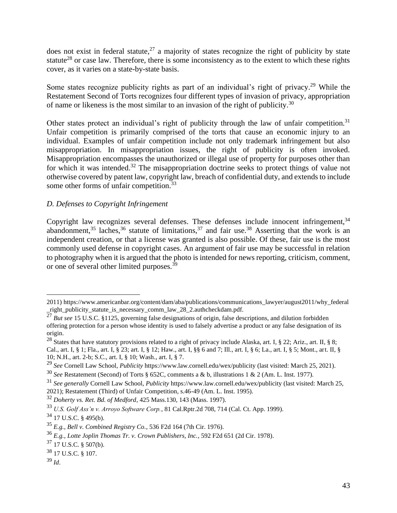does not exist in federal statute,<sup>27</sup> a majority of states recognize the right of publicity by state statute<sup>28</sup> or case law. Therefore, there is some inconsistency as to the extent to which these rights cover, as it varies on a state-by-state basis.

Some states recognize publicity rights as part of an individual's right of privacy.<sup>29</sup> While the Restatement Second of Torts recognizes four different types of invasion of privacy, appropriation of name or likeness is the most similar to an invasion of the right of publicity.<sup>30</sup>

Other states protect an individual's right of publicity through the law of unfair competition.<sup>31</sup> Unfair competition is primarily comprised of the torts that cause an economic injury to an individual. Examples of unfair competition include not only trademark infringement but also misappropriation. In misappropriation issues, the right of publicity is often invoked. Misappropriation encompasses the unauthorized or illegal use of property for purposes other than for which it was intended.<sup>32</sup> The misappropriation doctrine seeks to protect things of value not otherwise covered by patent law, copyright law, breach of confidential duty, and extends to include some other forms of unfair competition.<sup>33</sup>

#### *D. Defenses to Copyright Infringement*

Copyright law recognizes several defenses. These defenses include innocent infringement,<sup>34</sup> abandonment,<sup>35</sup> laches,<sup>36</sup> statute of limitations,<sup>37</sup> and fair use.<sup>38</sup> Asserting that the work is an independent creation, or that a license was granted is also possible. Of these, fair use is the most commonly used defense in copyright cases. An argument of fair use may be successful in relation to photography when it is argued that the photo is intended for news reporting, criticism, comment, or one of several other limited purposes.<sup>39</sup>

<sup>2011).</sup>https://www.americanbar.org/content/dam/aba/publications/communications\_lawyer/august2011/why\_federal \_right\_publicity\_statute\_is\_necessary\_comm\_law\_28\_2.authcheckdam.pdf.

<sup>&</sup>lt;sup>27</sup> *But see* 15 U.S.C. §1125, governing false designations of origin, false descriptions, and dilution forbidden offering protection for a person whose identity is used to falsely advertise a product or any false designation of its origin.

<sup>&</sup>lt;sup>28</sup> States that have statutory provisions related to a right of privacy include Alaska, art. I, § 22; Ariz., art. II, § 8; Cal., art. I, § 1; Fla., art. I, § 23; art. I, § 12; Haw., art. I, §§ 6 and 7; Ill., art. I, § 6; La., art. I, § 5; Mont., art. II, § 10; N.H., art. 2-b; S.C., art. I, § 10; Wash., art. I, § 7.

<sup>29</sup> *See* Cornell Law School, *Publicity* https://www.law.cornell.edu/wex/publicity (last visited: March 25, 2021).

<sup>30</sup> *See* Restatement (Second) of Torts § 652C, comments a & b, illustrations 1 & 2 (Am. L. Inst. 1977).

<sup>31</sup> *See generally* Cornell Law School, *Publicity* https://www.law.cornell.edu/wex/publicity (last visited: March 25, 2021); Restatement (Third) of Unfair Competition, s.46-49 (Am. L. Inst. 1995).

<sup>32</sup> *Doherty vs. Ret. Bd. of Medford*, 425 Mass.130, 143 (Mass. 1997).

<sup>33</sup> *U.S. Golf Ass'n v. Arroyo Software Corp.*, 81 Cal.Rptr.2d 708, 714 (Cal. Ct. App. 1999).

 $34$  17 U.S.C. § 495(b).

<sup>35</sup> *E.g., Bell v. Combined Registry Co.*, 536 F2d 164 (7th Cir. 1976).

<sup>36</sup> *E.g., Lotte Joplin Thomas Tr. v. Crown Publishers, Inc.*, 592 F2d 651 (2d Cir. 1978).

 $37$  17 U.S.C. § 507(b).

<sup>38</sup> 17 U.S.C. § 107.

 $39$  *Id.*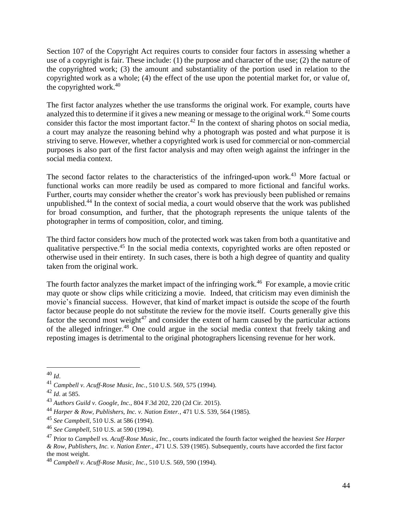Section 107 of the Copyright Act requires courts to consider four factors in assessing whether a use of a copyright is fair. These include: (1) the purpose and character of the use; (2) the nature of the copyrighted work; (3) the amount and substantiality of the portion used in relation to the copyrighted work as a whole; (4) the effect of the use upon the potential market for, or value of, the copyrighted work. $40$ 

The first factor analyzes whether the use transforms the original work. For example, courts have analyzed this to determine if it gives a new meaning or message to the original work.<sup>41</sup> Some courts consider this factor the most important factor.<sup>42</sup> In the context of sharing photos on social media, a court may analyze the reasoning behind why a photograph was posted and what purpose it is striving to serve. However, whether a copyrighted work is used for commercial or non-commercial purposes is also part of the first factor analysis and may often weigh against the infringer in the social media context.

The second factor relates to the characteristics of the infringed-upon work.<sup>43</sup> More factual or functional works can more readily be used as compared to more fictional and fanciful works. Further, courts may consider whether the creator's work has previously been published or remains unpublished.<sup>44</sup> In the context of social media, a court would observe that the work was published for broad consumption, and further, that the photograph represents the unique talents of the photographer in terms of composition, color, and timing.

The third factor considers how much of the protected work was taken from both a quantitative and qualitative perspective.<sup>45</sup> In the social media contexts, copyrighted works are often reposted or otherwise used in their entirety. In such cases, there is both a high degree of quantity and quality taken from the original work.

The fourth factor analyzes the market impact of the infringing work.<sup>46</sup> For example, a movie critic may quote or show clips while criticizing a movie. Indeed, that criticism may even diminish the movie's financial success. However, that kind of market impact is outside the scope of the fourth factor because people do not substitute the review for the movie itself. Courts generally give this factor the second most weight<sup>47</sup> and consider the extent of harm caused by the particular actions of the alleged infringer.<sup>48</sup> One could argue in the social media context that freely taking and reposting images is detrimental to the original photographers licensing revenue for her work.

<sup>40</sup> *Id*.

<sup>41</sup> *Campbell v. Acuff-Rose Music, Inc.*, 510 U.S. 569, 575 (1994).

 $^{42}$  *Id.* at 585.

<sup>43</sup> *Authors Guild v. Google, Inc.*, 804 F.3d 202, 220 (2d Cir. 2015).

<sup>44</sup> *Harper & Row, Publishers, Inc. v. Nation Enter.*, 471 U.S. 539, 564 (1985).

<sup>45</sup> *See Campbell*, 510 U.S. at 586 (1994).

<sup>46</sup> *See Campbell*, 510 U.S. at 590 (1994).

<sup>47</sup> Prior to *Campbell vs. Acuff-Rose Music, Inc.*, courts indicated the fourth factor weighed the heaviest *See Harper & Row, Publishers, Inc. v. Nation Enter.*, 471 U.S. 539 (1985). Subsequently, courts have accorded the first factor the most weight.

<sup>48</sup> *Campbell v. Acuff-Rose Music, Inc.*, 510 U.S. 569, 590 (1994).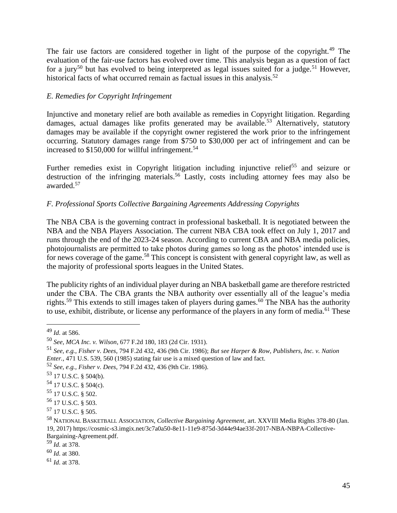The fair use factors are considered together in light of the purpose of the copyright.<sup>49</sup> The evaluation of the fair-use factors has evolved over time. This analysis began as a question of fact for a jury<sup>50</sup> but has evolved to being interpreted as legal issues suited for a judge.<sup>51</sup> However, historical facts of what occurred remain as factual issues in this analysis.<sup>52</sup>

#### *E. Remedies for Copyright Infringement*

Injunctive and monetary relief are both available as remedies in Copyright litigation. Regarding damages, actual damages like profits generated may be available.<sup>53</sup> Alternatively, statutory damages may be available if the copyright owner registered the work prior to the infringement occurring. Statutory damages range from \$750 to \$30,000 per act of infringement and can be increased to  $$150,000$  for willful infringement.<sup>54</sup>

Further remedies exist in Copyright litigation including injunctive relief<sup>55</sup> and seizure or destruction of the infringing materials.<sup>56</sup> Lastly, costs including attorney fees may also be awarded.<sup>57</sup>

#### *F. Professional Sports Collective Bargaining Agreements Addressing Copyrights*

The NBA CBA is the governing contract in professional basketball. It is negotiated between the NBA and the NBA Players Association. The current NBA CBA took effect on July 1, 2017 and runs through the end of the 2023-24 season. According to current CBA and NBA media policies, photojournalists are permitted to take photos during games so long as the photos' intended use is for news coverage of the game.<sup>58</sup> This concept is consistent with general copyright law, as well as the majority of professional sports leagues in the United States.

The publicity rights of an individual player during an NBA basketball game are therefore restricted under the CBA. The CBA grants the NBA authority over essentially all of the league's media rights.<sup>59</sup> This extends to still images taken of players during games.<sup>60</sup> The NBA has the authority to use, exhibit, distribute, or license any performance of the players in any form of media.<sup>61</sup> These

- $54$  17 U.S.C. § 504(c).
- <sup>55</sup> 17 U.S.C. § 502.
- <sup>56</sup> 17 U.S.C. § 503.

<sup>60</sup> *Id.* at 380.

<sup>61</sup> *Id.* at 378.

<sup>49</sup> *Id.* at 586.

<sup>50</sup> *See*, *MCA Inc. v. Wilson*, 677 F.2d 180, 183 (2d Cir. 1931).

<sup>51</sup> *See, e.g., Fisher v. Dees*, 794 F.2d 432, 436 (9th Cir. 1986); *But see Harper & Row, Publishers, Inc. v. Nation Enter.*, 471 U.S. 539, 560 (1985) stating fair use is a mixed question of law and fact.

<sup>52</sup> *See, e.g., Fisher v. Dees*, 794 F.2d 432, 436 (9th Cir. 1986).

<sup>53</sup> 17 U.S.C. § 504(b).

<sup>57</sup> 17 U.S.C. § 505.

<sup>58</sup> NATIONAL BASKETBALL ASSOCIATION, *Collective Bargaining Agreement*, art. XXVIII Media Rights 378-80 (Jan. 19, 2017) https://cosmic-s3.imgix.net/3c7a0a50-8e11-11e9-875d-3d44e94ae33f-2017-NBA-NBPA-Collective-Bargaining-Agreement.pdf.

<sup>59</sup> *Id.* at 378.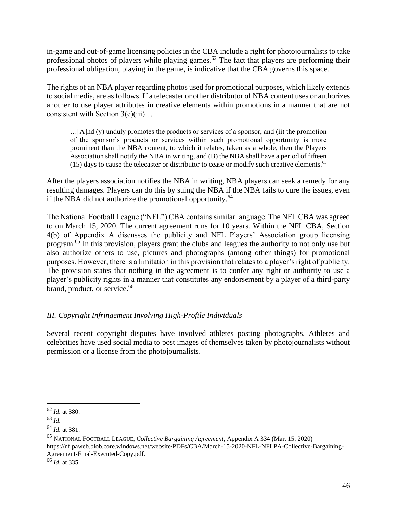in-game and out-of-game licensing policies in the CBA include a right for photojournalists to take professional photos of players while playing games.<sup>62</sup> The fact that players are performing their professional obligation, playing in the game, is indicative that the CBA governs this space.

The rights of an NBA player regarding photos used for promotional purposes, which likely extends to social media, are as follows. If a telecaster or other distributor of NBA content uses or authorizes another to use player attributes in creative elements within promotions in a manner that are not consistent with Section 3(e)(iii)…

 $\ldots$ [A]nd (y) unduly promotes the products or services of a sponsor, and (ii) the promotion of the sponsor's products or services within such promotional opportunity is more prominent than the NBA content, to which it relates, taken as a whole, then the Players Association shall notify the NBA in writing, and (B) the NBA shall have a period of fifteen  $(15)$  days to cause the telecaster or distributor to cease or modify such creative elements.<sup>63</sup>

After the players association notifies the NBA in writing, NBA players can seek a remedy for any resulting damages. Players can do this by suing the NBA if the NBA fails to cure the issues, even if the NBA did not authorize the promotional opportunity.<sup>64</sup>

The National Football League ("NFL") CBA contains similar language. The NFL CBA was agreed to on March 15, 2020. The current agreement runs for 10 years. Within the NFL CBA, Section 4(b) of Appendix A discusses the publicity and NFL Players' Association group licensing program.<sup>65</sup> In this provision, players grant the clubs and leagues the authority to not only use but also authorize others to use, pictures and photographs (among other things) for promotional purposes. However, there is a limitation in this provision that relates to a player's right of publicity. The provision states that nothing in the agreement is to confer any right or authority to use a player's publicity rights in a manner that constitutes any endorsement by a player of a third-party brand, product, or service.<sup>66</sup>

## *III. Copyright Infringement Involving High-Profile Individuals*

Several recent copyright disputes have involved athletes posting photographs. Athletes and celebrities have used social media to post images of themselves taken by photojournalists without permission or a license from the photojournalists.

<sup>62</sup> *Id.* at 380.

<sup>63</sup> *Id.*

<sup>64</sup> *Id.* at 381.

<sup>65</sup> NATIONAL FOOTBALL LEAGUE, *Collective Bargaining Agreement*, Appendix A 334 (Mar. 15, 2020)

https://nflpaweb.blob.core.windows.net/website/PDFs/CBA/March-15-2020-NFL-NFLPA-Collective-Bargaining-Agreement-Final-Executed-Copy.pdf.

<sup>66</sup> *Id.* at 335.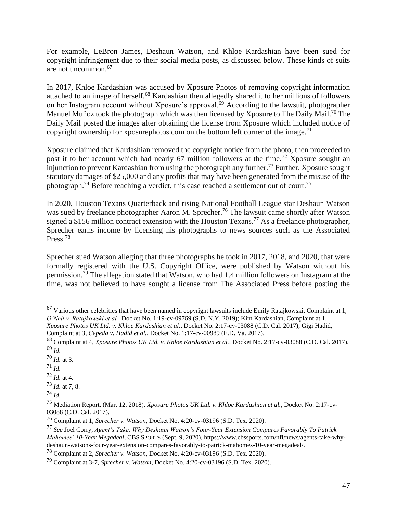For example, LeBron James, Deshaun Watson, and Khloe Kardashian have been sued for copyright infringement due to their social media posts, as discussed below. These kinds of suits are not uncommon.<sup>67</sup>

In 2017, Khloe Kardashian was accused by Xposure Photos of removing copyright information attached to an image of herself.<sup>68</sup> Kardashian then allegedly shared it to her millions of followers on her Instagram account without Xposure's approval.<sup>69</sup> According to the lawsuit, photographer Manuel Muñoz took the photograph which was then licensed by Xposure to The Daily Mail.<sup>70</sup> The Daily Mail posted the images after obtaining the license from Xposure which included notice of copyright ownership for xposurephotos.com on the bottom left corner of the image.<sup>71</sup>

Xposure claimed that Kardashian removed the copyright notice from the photo, then proceeded to post it to her account which had nearly 67 million followers at the time.<sup>72</sup> Xposure sought an injunction to prevent Kardashian from using the photograph any further.<sup>73</sup> Further, Xposure sought statutory damages of \$25,000 and any profits that may have been generated from the misuse of the photograph.<sup>74</sup> Before reaching a verdict, this case reached a settlement out of court.<sup>75</sup>

In 2020, Houston Texans Quarterback and rising National Football League star Deshaun Watson was sued by freelance photographer Aaron M. Sprecher.<sup>76</sup> The lawsuit came shortly after Watson signed a \$156 million contract extension with the Houston Texans.<sup>77</sup> As a freelance photographer, Sprecher earns income by licensing his photographs to news sources such as the Associated Press.<sup>78</sup>

Sprecher sued Watson alleging that three photographs he took in 2017, 2018, and 2020, that were formally registered with the U.S. Copyright Office, were published by Watson without his permission.<sup>79</sup> The allegation stated that Watson, who had 1.4 million followers on Instagram at the time, was not believed to have sought a license from The Associated Press before posting the

<sup>72</sup> *Id.* at 4.

 $67$  Various other celebrities that have been named in copyright lawsuits include Emily Ratajkowski, Complaint at 1, *O'Neil v. Ratajkowski et al.*, Docket No. 1:19-cv-09769 (S.D. N.Y. 2019); Kim Kardashian, Complaint at 1,

*Xposure Photos UK Ltd. v. Khloe Kardashian et al.*, Docket No. 2:17-cv-03088 (C.D. Cal. 2017); Gigi Hadid, Complaint at 3, *Cepeda v. Hadid et al.*, Docket No. 1:17-cv-00989 (E.D. Va. 2017).

<sup>68</sup> Complaint at 4, *Xposure Photos UK Ltd. v. Khloe Kardashian et al.*, Docket No. 2:17-cv-03088 (C.D. Cal. 2017). <sup>69</sup> *Id.*

<sup>70</sup> *Id.* at 3.

<sup>71</sup> *Id.*

<sup>73</sup> *Id.* at 7, 8.

<sup>74</sup> *Id.*

<sup>75</sup> Mediation Report, (Mar. 12, 2018), *Xposure Photos UK Ltd. v. Khloe Kardashian et al.*, Docket No. 2:17-cv-03088 (C.D. Cal. 2017).

<sup>76</sup> Complaint at 1, *Sprecher v. Watson*, Docket No. 4:20-cv-03196 (S.D. Tex. 2020).

<sup>77</sup> *See* Joel Corry, *Agent's Take: Why Deshaun Watson's Four-Year Extension Compares Favorably To Patrick Mahomes' 10-Year Megadeal*, CBS SPORTS (Sept. 9, 2020), https://www.cbssports.com/nfl/news/agents-take-whydeshaun-watsons-four-year-extension-compares-favorably-to-patrick-mahomes-10-year-megadeal/.

<sup>78</sup> Complaint at 2, *Sprecher v. Watson*, Docket No. 4:20-cv-03196 (S.D. Tex. 2020).

<sup>79</sup> Complaint at 3-7, *Sprecher v. Watson*, Docket No. 4:20-cv-03196 (S.D. Tex. 2020).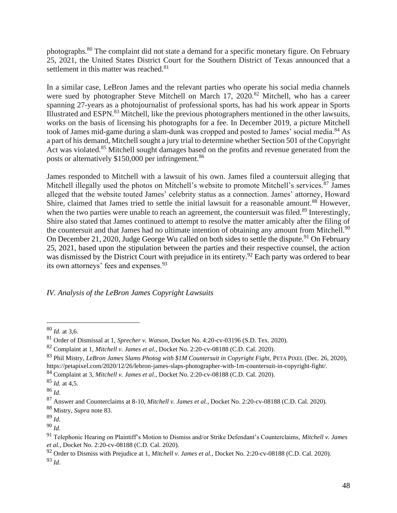photographs.<sup>80</sup> The complaint did not state a demand for a specific monetary figure. On February 25, 2021, the United States District Court for the Southern District of Texas announced that a settlement in this matter was reached.<sup>81</sup>

In a similar case, LeBron James and the relevant parties who operate his social media channels were sued by photographer Steve Mitchell on March 17, 2020.<sup>82</sup> Mitchell, who has a career spanning 27-years as a photojournalist of professional sports, has had his work appear in Sports Illustrated and ESPN.<sup>83</sup> Mitchell, like the previous photographers mentioned in the other lawsuits, works on the basis of licensing his photographs for a fee. In December 2019, a picture Mitchell took of James mid-game during a slam-dunk was cropped and posted to James' social media.<sup>84</sup> As a part of his demand, Mitchell sought a jury trial to determine whether Section 501 of the Copyright Act was violated.<sup>85</sup> Mitchell sought damages based on the profits and revenue generated from the posts or alternatively \$150,000 per infringement.<sup>86</sup>

James responded to Mitchell with a lawsuit of his own. James filed a countersuit alleging that Mitchell illegally used the photos on Mitchell's website to promote Mitchell's services.<sup>87</sup> James alleged that the website touted James' celebrity status as a connection. James' attorney, Howard Shire, claimed that James tried to settle the initial lawsuit for a reasonable amount.<sup>88</sup> However, when the two parties were unable to reach an agreement, the countersuit was filed.<sup>89</sup> Interestingly, Shire also stated that James continued to attempt to resolve the matter amicably after the filing of the countersuit and that James had no ultimate intention of obtaining any amount from Mitchell.<sup>90</sup> On December 21, 2020, Judge George Wu called on both sides to settle the dispute.<sup>91</sup> On February 25, 2021, based upon the stipulation between the parties and their respective counsel, the action was dismissed by the District Court with prejudice in its entirety.<sup>92</sup> Each party was ordered to bear its own attorneys' fees and expenses.<sup>93</sup>

*IV. Analysis of the LeBron James Copyright Lawsuits*

<sup>84</sup> Complaint at 3, *Mitchell v. James et al.*, Docket No. 2:20-cv-08188 (C.D. Cal. 2020).

<sup>80</sup> *Id.* at 3,6.

<sup>81</sup> Order of Dismissal at 1, *Sprecher v. Watson*, Docket No. 4:20-cv-03196 (S.D. Tex. 2020).

<sup>82</sup> Complaint at 1, *Mitchell v. James et al.*, Docket No. 2:20-cv-08188 (C.D. Cal. 2020).

<sup>83</sup> Phil Mistry, *LeBron James Slams Photog with \$1M Countersuit in Copyright Fight*, PETA PIXEL (Dec. 26, 2020), https://petapixel.com/2020/12/26/lebron-james-slaps-photographer-with-1m-countersuit-in-copyright-fight/.

<sup>85</sup> *Id.* at 4,5.

<sup>86</sup> *Id.*

<sup>87</sup> Answer and Counterclaims at 8-10, *Mitchell v. James et al.*, Docket No. 2:20-cv-08188 (C.D. Cal. 2020).

<sup>88</sup> Mistry, *Supra* note 83.

<sup>89</sup> *Id.*

<sup>90</sup> *Id.* 

<sup>91</sup> Telephonic Hearing on Plaintiff's Motion to Dismiss and/or Strike Defendant's Counterclaims, *Mitchell v. James et al.*, Docket No. 2:20-cv-08188 (C.D. Cal. 2020).

<sup>92</sup> Order to Dismiss with Prejudice at 1, *Mitchell v. James et al.*, Docket No. 2:20-cv-08188 (C.D. Cal. 2020). <sup>93</sup> *Id.*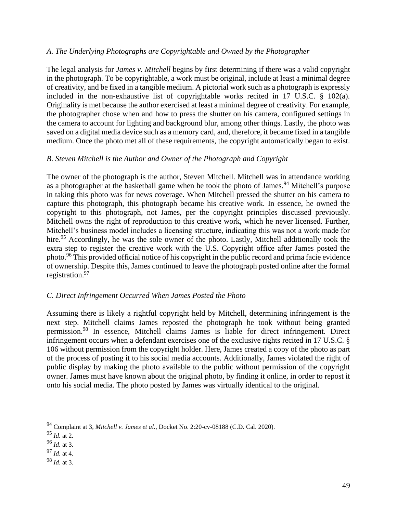#### *A. The Underlying Photographs are Copyrightable and Owned by the Photographer*

The legal analysis for *James v. Mitchell* begins by first determining if there was a valid copyright in the photograph. To be copyrightable, a work must be original, include at least a minimal degree of creativity, and be fixed in a tangible medium. A pictorial work such as a photograph is expressly included in the non-exhaustive list of copyrightable works recited in 17 U.S.C. § 102(a). Originality is met because the author exercised at least a minimal degree of creativity. For example, the photographer chose when and how to press the shutter on his camera, configured settings in the camera to account for lighting and background blur, among other things. Lastly, the photo was saved on a digital media device such as a memory card, and, therefore, it became fixed in a tangible medium. Once the photo met all of these requirements, the copyright automatically began to exist.

#### *B. Steven Mitchell is the Author and Owner of the Photograph and Copyright*

The owner of the photograph is the author, Steven Mitchell. Mitchell was in attendance working as a photographer at the basketball game when he took the photo of James.<sup>94</sup> Mitchell's purpose in taking this photo was for news coverage. When Mitchell pressed the shutter on his camera to capture this photograph, this photograph became his creative work. In essence, he owned the copyright to this photograph, not James, per the copyright principles discussed previously. Mitchell owns the right of reproduction to this creative work, which he never licensed. Further, Mitchell's business model includes a licensing structure, indicating this was not a work made for hire.<sup>95</sup> Accordingly, he was the sole owner of the photo. Lastly, Mitchell additionally took the extra step to register the creative work with the U.S. Copyright office after James posted the photo.<sup>96</sup> This provided official notice of his copyright in the public record and prima facie evidence of ownership. Despite this, James continued to leave the photograph posted online after the formal registration. $97$ 

#### *C. Direct Infringement Occurred When James Posted the Photo*

Assuming there is likely a rightful copyright held by Mitchell, determining infringement is the next step. Mitchell claims James reposted the photograph he took without being granted permission.<sup>98</sup> In essence, Mitchell claims James is liable for direct infringement. Direct infringement occurs when a defendant exercises one of the exclusive rights recited in 17 U.S.C. § 106 without permission from the copyright holder. Here, James created a copy of the photo as part of the process of posting it to his social media accounts. Additionally, James violated the right of public display by making the photo available to the public without permission of the copyright owner. James must have known about the original photo, by finding it online, in order to repost it onto his social media. The photo posted by James was virtually identical to the original.

<sup>94</sup> Complaint at 3, *Mitchell v. James et al.*, Docket No. 2:20-cv-08188 (C.D. Cal. 2020).

<sup>95</sup> *Id.* at 2.

<sup>96</sup> *Id.* at 3.

<sup>97</sup> *Id.* at 4.

<sup>98</sup> *Id.* at 3.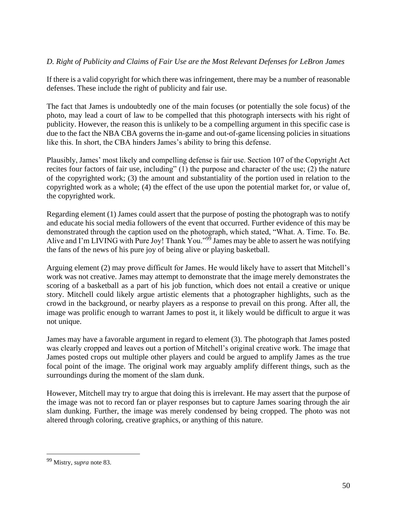#### *D. Right of Publicity and Claims of Fair Use are the Most Relevant Defenses for LeBron James*

If there is a valid copyright for which there was infringement, there may be a number of reasonable defenses. These include the right of publicity and fair use.

The fact that James is undoubtedly one of the main focuses (or potentially the sole focus) of the photo, may lead a court of law to be compelled that this photograph intersects with his right of publicity. However, the reason this is unlikely to be a compelling argument in this specific case is due to the fact the NBA CBA governs the in-game and out-of-game licensing policies in situations like this. In short, the CBA hinders James's ability to bring this defense.

Plausibly, James' most likely and compelling defense is fair use. Section 107 of the Copyright Act recites four factors of fair use, including" (1) the purpose and character of the use; (2) the nature of the copyrighted work; (3) the amount and substantiality of the portion used in relation to the copyrighted work as a whole; (4) the effect of the use upon the potential market for, or value of, the copyrighted work.

Regarding element (1) James could assert that the purpose of posting the photograph was to notify and educate his social media followers of the event that occurred. Further evidence of this may be demonstrated through the caption used on the photograph, which stated, "What. A. Time. To. Be. Alive and I'm LIVING with Pure Joy! Thank You."<sup>99</sup> James may be able to assert he was notifying the fans of the news of his pure joy of being alive or playing basketball.

Arguing element (2) may prove difficult for James. He would likely have to assert that Mitchell's work was not creative. James may attempt to demonstrate that the image merely demonstrates the scoring of a basketball as a part of his job function, which does not entail a creative or unique story. Mitchell could likely argue artistic elements that a photographer highlights, such as the crowd in the background, or nearby players as a response to prevail on this prong. After all, the image was prolific enough to warrant James to post it, it likely would be difficult to argue it was not unique.

James may have a favorable argument in regard to element (3). The photograph that James posted was clearly cropped and leaves out a portion of Mitchell's original creative work. The image that James posted crops out multiple other players and could be argued to amplify James as the true focal point of the image. The original work may arguably amplify different things, such as the surroundings during the moment of the slam dunk.

However, Mitchell may try to argue that doing this is irrelevant. He may assert that the purpose of the image was not to record fan or player responses but to capture James soaring through the air slam dunking. Further, the image was merely condensed by being cropped. The photo was not altered through coloring, creative graphics, or anything of this nature.

<sup>99</sup> Mistry, *supra* note 83.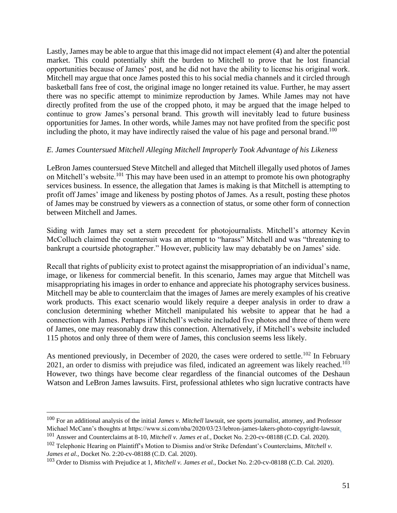Lastly, James may be able to argue that this image did not impact element (4) and alter the potential market. This could potentially shift the burden to Mitchell to prove that he lost financial opportunities because of James' post, and he did not have the ability to license his original work. Mitchell may argue that once James posted this to his social media channels and it circled through basketball fans free of cost, the original image no longer retained its value. Further, he may assert there was no specific attempt to minimize reproduction by James. While James may not have directly profited from the use of the cropped photo, it may be argued that the image helped to continue to grow James's personal brand. This growth will inevitably lead to future business opportunities for James. In other words, while James may not have profited from the specific post including the photo, it may have indirectly raised the value of his page and personal brand.<sup>100</sup>

#### *E. James Countersued Mitchell Alleging Mitchell Improperly Took Advantage of his Likeness*

LeBron James countersued Steve Mitchell and alleged that Mitchell illegally used photos of James on Mitchell's website.<sup>101</sup> This may have been used in an attempt to promote his own photography services business. In essence, the allegation that James is making is that Mitchell is attempting to profit off James' image and likeness by posting photos of James. As a result, posting these photos of James may be construed by viewers as a connection of status, or some other form of connection between Mitchell and James.

Siding with James may set a stern precedent for photojournalists. Mitchell's attorney Kevin McColluch claimed the countersuit was an attempt to "harass" Mitchell and was "threatening to bankrupt a courtside photographer." However, publicity law may debatably be on James' side.

Recall that rights of publicity exist to protect against the misappropriation of an individual's name, image, or likeness for commercial benefit. In this scenario, James may argue that Mitchell was misappropriating his images in order to enhance and appreciate his photography services business. Mitchell may be able to counterclaim that the images of James are merely examples of his creative work products. This exact scenario would likely require a deeper analysis in order to draw a conclusion determining whether Mitchell manipulated his website to appear that he had a connection with James. Perhaps if Mitchell's website included five photos and three of them were of James, one may reasonably draw this connection. Alternatively, if Mitchell's website included 115 photos and only three of them were of James, this conclusion seems less likely.

As mentioned previously, in December of 2020, the cases were ordered to settle.<sup>102</sup> In February 2021, an order to dismiss with prejudice was filed, indicated an agreement was likely reached.<sup>103</sup> However, two things have become clear regardless of the financial outcomes of the Deshaun Watson and LeBron James lawsuits. First, professional athletes who sign lucrative contracts have

<sup>100</sup> For an additional analysis of the initial *James v. Mitchell* lawsuit, see sports journalist, attorney, and Professor Michael McCann's thoughts at https://www.si.com/nba/2020/03/23/lebron-james-lakers-photo-copyright-lawsuit.

<sup>101</sup> Answer and Counterclaims at 8-10, *Mitchell v. James et al.*, Docket No. 2:20-cv-08188 (C.D. Cal. 2020).

<sup>102</sup> Telephonic Hearing on Plaintiff's Motion to Dismiss and/or Strike Defendant's Counterclaims, *Mitchell v. James et al.*, Docket No. 2:20-cv-08188 (C.D. Cal. 2020).

<sup>103</sup> Order to Dismiss with Prejudice at 1, *Mitchell v. James et al.*, Docket No. 2:20-cv-08188 (C.D. Cal. 2020).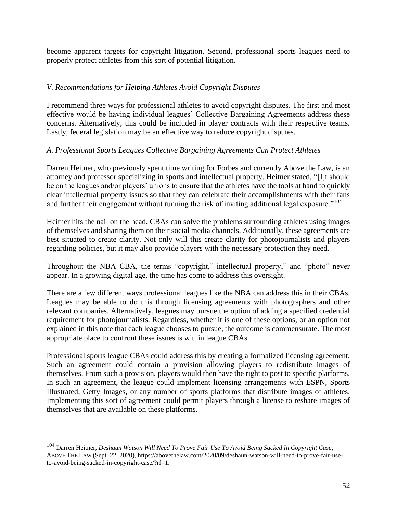become apparent targets for copyright litigation. Second, professional sports leagues need to properly protect athletes from this sort of potential litigation.

#### *V. Recommendations for Helping Athletes Avoid Copyright Disputes*

I recommend three ways for professional athletes to avoid copyright disputes. The first and most effective would be having individual leagues' Collective Bargaining Agreements address these concerns. Alternatively, this could be included in player contracts with their respective teams. Lastly, federal legislation may be an effective way to reduce copyright disputes.

#### *A. Professional Sports Leagues Collective Bargaining Agreements Can Protect Athletes*

Darren Heitner, who previously spent time writing for Forbes and currently Above the Law, is an attorney and professor specializing in sports and intellectual property. Heitner stated, "[I]t should be on the leagues and/or players' unions to ensure that the athletes have the tools at hand to quickly clear intellectual property issues so that they can celebrate their accomplishments with their fans and further their engagement without running the risk of inviting additional legal exposure."<sup>104</sup>

Heitner hits the nail on the head. CBAs can solve the problems surrounding athletes using images of themselves and sharing them on their social media channels. Additionally, these agreements are best situated to create clarity. Not only will this create clarity for photojournalists and players regarding policies, but it may also provide players with the necessary protection they need.

Throughout the NBA CBA, the terms "copyright," intellectual property," and "photo" never appear. In a growing digital age, the time has come to address this oversight.

There are a few different ways professional leagues like the NBA can address this in their CBAs. Leagues may be able to do this through licensing agreements with photographers and other relevant companies. Alternatively, leagues may pursue the option of adding a specified credential requirement for photojournalists. Regardless, whether it is one of these options, or an option not explained in this note that each league chooses to pursue, the outcome is commensurate. The most appropriate place to confront these issues is within league CBAs.

Professional sports league CBAs could address this by creating a formalized licensing agreement. Such an agreement could contain a provision allowing players to redistribute images of themselves. From such a provision, players would then have the right to post to specific platforms. In such an agreement, the league could implement licensing arrangements with ESPN, Sports Illustrated, Getty Images, or any number of sports platforms that distribute images of athletes. Implementing this sort of agreement could permit players through a license to reshare images of themselves that are available on these platforms.

<sup>104</sup> Darren Heitner, *Deshaun Watson Will Need To Prove Fair Use To Avoid Being Sacked In Copyright Case*, ABOVE THE LAW (Sept. 22, 2020), https://abovethelaw.com/2020/09/deshaun-watson-will-need-to-prove-fair-useto-avoid-being-sacked-in-copyright-case/?rf=1.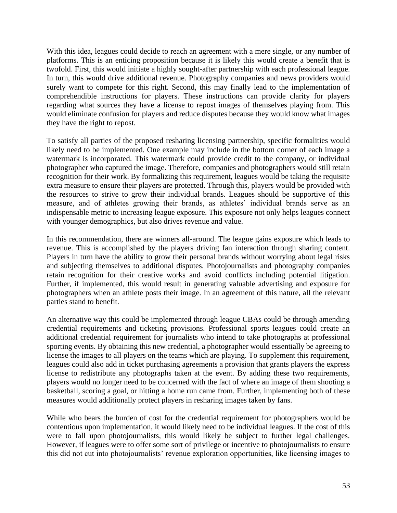With this idea, leagues could decide to reach an agreement with a mere single, or any number of platforms. This is an enticing proposition because it is likely this would create a benefit that is twofold. First, this would initiate a highly sought-after partnership with each professional league. In turn, this would drive additional revenue. Photography companies and news providers would surely want to compete for this right. Second, this may finally lead to the implementation of comprehendible instructions for players. These instructions can provide clarity for players regarding what sources they have a license to repost images of themselves playing from. This would eliminate confusion for players and reduce disputes because they would know what images they have the right to repost.

To satisfy all parties of the proposed resharing licensing partnership, specific formalities would likely need to be implemented. One example may include in the bottom corner of each image a watermark is incorporated. This watermark could provide credit to the company, or individual photographer who captured the image. Therefore, companies and photographers would still retain recognition for their work. By formalizing this requirement, leagues would be taking the requisite extra measure to ensure their players are protected. Through this, players would be provided with the resources to strive to grow their individual brands. Leagues should be supportive of this measure, and of athletes growing their brands, as athletes' individual brands serve as an indispensable metric to increasing league exposure. This exposure not only helps leagues connect with younger demographics, but also drives revenue and value.

In this recommendation, there are winners all-around. The league gains exposure which leads to revenue. This is accomplished by the players driving fan interaction through sharing content. Players in turn have the ability to grow their personal brands without worrying about legal risks and subjecting themselves to additional disputes. Photojournalists and photography companies retain recognition for their creative works and avoid conflicts including potential litigation. Further, if implemented, this would result in generating valuable advertising and exposure for photographers when an athlete posts their image. In an agreement of this nature, all the relevant parties stand to benefit.

An alternative way this could be implemented through league CBAs could be through amending credential requirements and ticketing provisions. Professional sports leagues could create an additional credential requirement for journalists who intend to take photographs at professional sporting events. By obtaining this new credential, a photographer would essentially be agreeing to license the images to all players on the teams which are playing. To supplement this requirement, leagues could also add in ticket purchasing agreements a provision that grants players the express license to redistribute any photographs taken at the event. By adding these two requirements, players would no longer need to be concerned with the fact of where an image of them shooting a basketball, scoring a goal, or hitting a home run came from. Further, implementing both of these measures would additionally protect players in resharing images taken by fans.

While who bears the burden of cost for the credential requirement for photographers would be contentious upon implementation, it would likely need to be individual leagues. If the cost of this were to fall upon photojournalists, this would likely be subject to further legal challenges. However, if leagues were to offer some sort of privilege or incentive to photojournalists to ensure this did not cut into photojournalists' revenue exploration opportunities, like licensing images to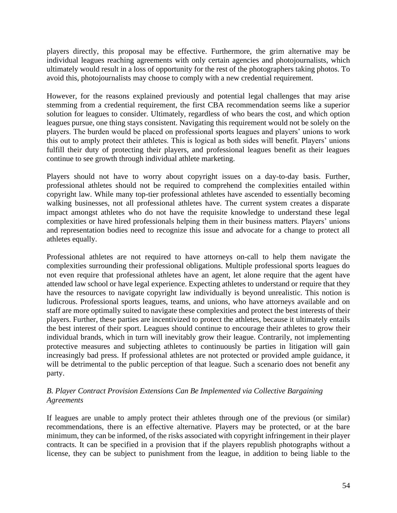players directly, this proposal may be effective. Furthermore, the grim alternative may be individual leagues reaching agreements with only certain agencies and photojournalists, which ultimately would result in a loss of opportunity for the rest of the photographers taking photos. To avoid this, photojournalists may choose to comply with a new credential requirement.

However, for the reasons explained previously and potential legal challenges that may arise stemming from a credential requirement, the first CBA recommendation seems like a superior solution for leagues to consider. Ultimately, regardless of who bears the cost, and which option leagues pursue, one thing stays consistent. Navigating this requirement would not be solely on the players. The burden would be placed on professional sports leagues and players' unions to work this out to amply protect their athletes. This is logical as both sides will benefit. Players' unions fulfill their duty of protecting their players, and professional leagues benefit as their leagues continue to see growth through individual athlete marketing.

Players should not have to worry about copyright issues on a day-to-day basis. Further, professional athletes should not be required to comprehend the complexities entailed within copyright law. While many top-tier professional athletes have ascended to essentially becoming walking businesses, not all professional athletes have. The current system creates a disparate impact amongst athletes who do not have the requisite knowledge to understand these legal complexities or have hired professionals helping them in their business matters. Players' unions and representation bodies need to recognize this issue and advocate for a change to protect all athletes equally.

Professional athletes are not required to have attorneys on-call to help them navigate the complexities surrounding their professional obligations. Multiple professional sports leagues do not even require that professional athletes have an agent, let alone require that the agent have attended law school or have legal experience. Expecting athletes to understand or require that they have the resources to navigate copyright law individually is beyond unrealistic. This notion is ludicrous. Professional sports leagues, teams, and unions, who have attorneys available and on staff are more optimally suited to navigate these complexities and protect the best interests of their players. Further, these parties are incentivized to protect the athletes, because it ultimately entails the best interest of their sport. Leagues should continue to encourage their athletes to grow their individual brands, which in turn will inevitably grow their league. Contrarily, not implementing protective measures and subjecting athletes to continuously be parties in litigation will gain increasingly bad press. If professional athletes are not protected or provided ample guidance, it will be detrimental to the public perception of that league. Such a scenario does not benefit any party.

#### *B. Player Contract Provision Extensions Can Be Implemented via Collective Bargaining Agreements*

If leagues are unable to amply protect their athletes through one of the previous (or similar) recommendations, there is an effective alternative. Players may be protected, or at the bare minimum, they can be informed, of the risks associated with copyright infringement in their player contracts. It can be specified in a provision that if the players republish photographs without a license, they can be subject to punishment from the league, in addition to being liable to the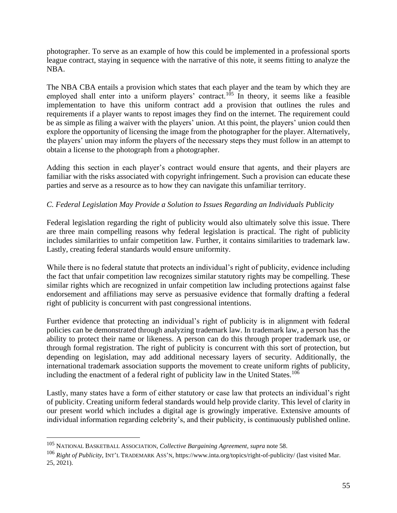photographer. To serve as an example of how this could be implemented in a professional sports league contract, staying in sequence with the narrative of this note, it seems fitting to analyze the NBA.

The NBA CBA entails a provision which states that each player and the team by which they are employed shall enter into a uniform players' contract.<sup>105</sup> In theory, it seems like a feasible implementation to have this uniform contract add a provision that outlines the rules and requirements if a player wants to repost images they find on the internet. The requirement could be as simple as filing a waiver with the players' union. At this point, the players' union could then explore the opportunity of licensing the image from the photographer for the player. Alternatively, the players' union may inform the players of the necessary steps they must follow in an attempt to obtain a license to the photograph from a photographer.

Adding this section in each player's contract would ensure that agents, and their players are familiar with the risks associated with copyright infringement. Such a provision can educate these parties and serve as a resource as to how they can navigate this unfamiliar territory.

## *C. Federal Legislation May Provide a Solution to Issues Regarding an Individuals Publicity*

Federal legislation regarding the right of publicity would also ultimately solve this issue. There are three main compelling reasons why federal legislation is practical. The right of publicity includes similarities to unfair competition law. Further, it contains similarities to trademark law. Lastly, creating federal standards would ensure uniformity.

While there is no federal statute that protects an individual's right of publicity, evidence including the fact that unfair competition law recognizes similar statutory rights may be compelling. These similar rights which are recognized in unfair competition law including protections against false endorsement and affiliations may serve as persuasive evidence that formally drafting a federal right of publicity is concurrent with past congressional intentions.

Further evidence that protecting an individual's right of publicity is in alignment with federal policies can be demonstrated through analyzing trademark law. In trademark law, a person has the ability to protect their name or likeness. A person can do this through proper trademark use, or through formal registration. The right of publicity is concurrent with this sort of protection, but depending on legislation, may add additional necessary layers of security. Additionally, the international trademark association supports the movement to create uniform rights of publicity, including the enactment of a federal right of publicity law in the United States.<sup>106</sup>

Lastly, many states have a form of either statutory or case law that protects an individual's right of publicity. Creating uniform federal standards would help provide clarity. This level of clarity in our present world which includes a digital age is growingly imperative. Extensive amounts of individual information regarding celebrity's, and their publicity, is continuously published online.

<sup>105</sup> NATIONAL BASKETBALL ASSOCIATION, *Collective Bargaining Agreement*, *supra* note 58.

<sup>106</sup> *Right of Publicity*, INT'L TRADEMARK ASS'N, https://www.inta.org/topics/right-of-publicity/ (last visited Mar. 25, 2021).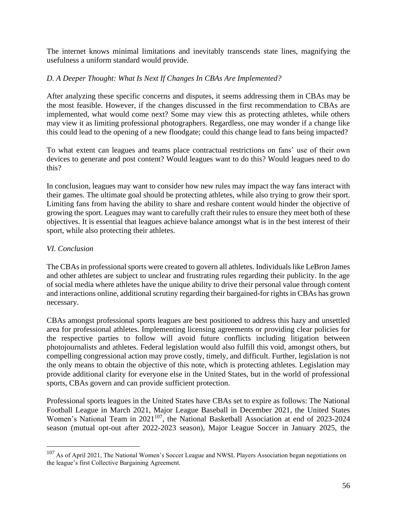The internet knows minimal limitations and inevitably transcends state lines, magnifying the usefulness a uniform standard would provide.

#### *D. A Deeper Thought: What Is Next If Changes In CBAs Are Implemented?*

After analyzing these specific concerns and disputes, it seems addressing them in CBAs may be the most feasible. However, if the changes discussed in the first recommendation to CBAs are implemented, what would come next? Some may view this as protecting athletes, while others may view it as limiting professional photographers. Regardless, one may wonder if a change like this could lead to the opening of a new floodgate; could this change lead to fans being impacted?

To what extent can leagues and teams place contractual restrictions on fans' use of their own devices to generate and post content? Would leagues want to do this? Would leagues need to do this?

In conclusion, leagues may want to consider how new rules may impact the way fans interact with their games. The ultimate goal should be protecting athletes, while also trying to grow their sport. Limiting fans from having the ability to share and reshare content would hinder the objective of growing the sport. Leagues may want to carefully craft their rules to ensure they meet both of these objectives. It is essential that leagues achieve balance amongst what is in the best interest of their sport, while also protecting their athletes.

#### *VI. Conclusion*

The CBAs in professional sports were created to govern all athletes. Individuals like LeBron James and other athletes are subject to unclear and frustrating rules regarding their publicity. In the age of social media where athletes have the unique ability to drive their personal value through content and interactions online, additional scrutiny regarding their bargained-for rights in CBAs has grown necessary.

CBAs amongst professional sports leagues are best positioned to address this hazy and unsettled area for professional athletes. Implementing licensing agreements or providing clear policies for the respective parties to follow will avoid future conflicts including litigation between photojournalists and athletes. Federal legislation would also fulfill this void, amongst others, but compelling congressional action may prove costly, timely, and difficult. Further, legislation is not the only means to obtain the objective of this note, which is protecting athletes. Legislation may provide additional clarity for everyone else in the United States, but in the world of professional sports, CBAs govern and can provide sufficient protection.

Professional sports leagues in the United States have CBAs set to expire as follows: The National Football League in March 2021, Major League Baseball in December 2021, the United States Women's National Team in 2021<sup>107</sup>, the National Basketball Association at end of 2023-2024 season (mutual opt-out after 2022-2023 season), Major League Soccer in January 2025, the

<sup>&</sup>lt;sup>107</sup> As of April 2021, The National Women's Soccer League and NWSL Players Association began negotiations on the league's first Collective Bargaining Agreement.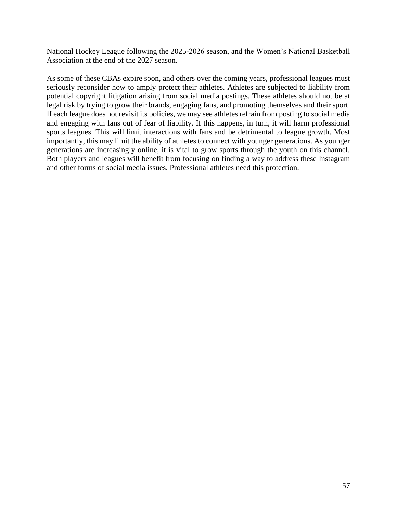National Hockey League following the 2025-2026 season, and the Women's National Basketball Association at the end of the 2027 season.

As some of these CBAs expire soon, and others over the coming years, professional leagues must seriously reconsider how to amply protect their athletes. Athletes are subjected to liability from potential copyright litigation arising from social media postings. These athletes should not be at legal risk by trying to grow their brands, engaging fans, and promoting themselves and their sport. If each league does not revisit its policies, we may see athletes refrain from posting to social media and engaging with fans out of fear of liability. If this happens, in turn, it will harm professional sports leagues. This will limit interactions with fans and be detrimental to league growth. Most importantly, this may limit the ability of athletes to connect with younger generations. As younger generations are increasingly online, it is vital to grow sports through the youth on this channel. Both players and leagues will benefit from focusing on finding a way to address these Instagram and other forms of social media issues. Professional athletes need this protection.